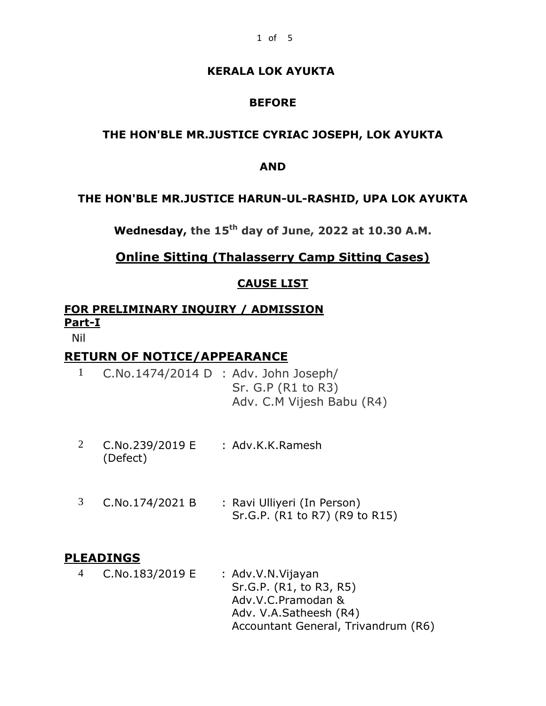### **KERALA LOK AYUKTA**

## **BEFORE**

## **THE HON'BLE MR.JUSTICE CYRIAC JOSEPH, LOK AYUKTA**

#### **AND**

#### **THE HON'BLE MR.JUSTICE HARUN-UL-RASHID, UPA LOK AYUKTA**

**Wednesday, the 15 th day of June, 2022 at 10.30 A.M.**

# **Online Sitting (Thalasserry Camp Sitting Cases)**

#### **CAUSE LIST**

# **FOR PRELIMINARY INQUIRY / ADMISSION Part-I**

Nil

## **RETURN OF NOTICE/APPEARANCE**

- 1 C.No.1474/2014 D : Adv. John Joseph/ Sr. G.P (R1 to R3) Adv. C.M Vijesh Babu (R4)
- 2 C.No.239/2019 E : Adv.K.K.Ramesh (Defect)
- 3 C.No.174/2021 B : Ravi Ulliyeri (In Person) Sr.G.P. (R1 to R7) (R9 to R15)

#### **PLEADINGS**

4 C.No.183/2019 E : Adv.V.N.Vijayan Sr.G.P. (R1, to R3, R5) Adv.V.C.Pramodan & Adv. V.A.Satheesh (R4) Accountant General, Trivandrum (R6)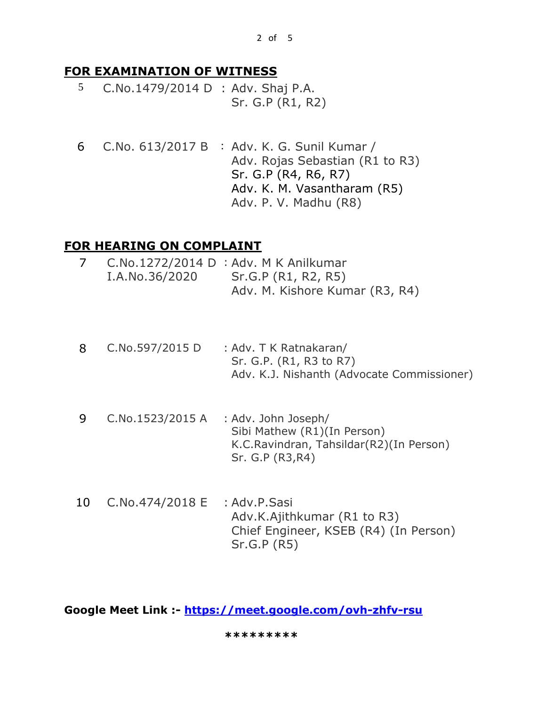# **FOR EXAMINATION OF WITNESS**

- 5 C.No.1479/2014 D : Adv. Shaj P.A. Sr. G.P (R1, R2)
- 6 C.No. 613/2017 B : Adv. K. G. Sunil Kumar / Adv. Rojas Sebastian (R1 to R3) Sr. G.P (R4, R6, R7) Adv. K. M. Vasantharam (R5) Adv. P. V. Madhu (R8)

# **FOR HEARING ON COMPLAINT**

|                | C.No.1272/2014 D : Adv. M K Anilkumar |
|----------------|---------------------------------------|
| I.A.No.36/2020 | Sr.G.P (R1, R2, R5)                   |
|                | Adv. M. Kishore Kumar (R3, R4)        |

- 8 C.No.597/2015 D : Adv. T K Ratnakaran/ Sr. G.P. (R1, R3 to R7) Adv. K.J. Nishanth (Advocate Commissioner)
- 9 C.No.1523/2015 A : Adv. John Joseph/ Sibi Mathew (R1)(In Person) K.C.Ravindran, Tahsildar(R2)(In Person) Sr. G.P (R3,R4)
- 10 C.No.474/2018 E : Adv.P.Sasi Adv.K.Ajithkumar (R1 to R3) Chief Engineer, KSEB (R4) (In Person) Sr.G.P (R5)

**Google Meet Link :- <https://meet.google.com/ovh-zhfv-rsu>**

 **\*\*\*\*\*\*\*\*\***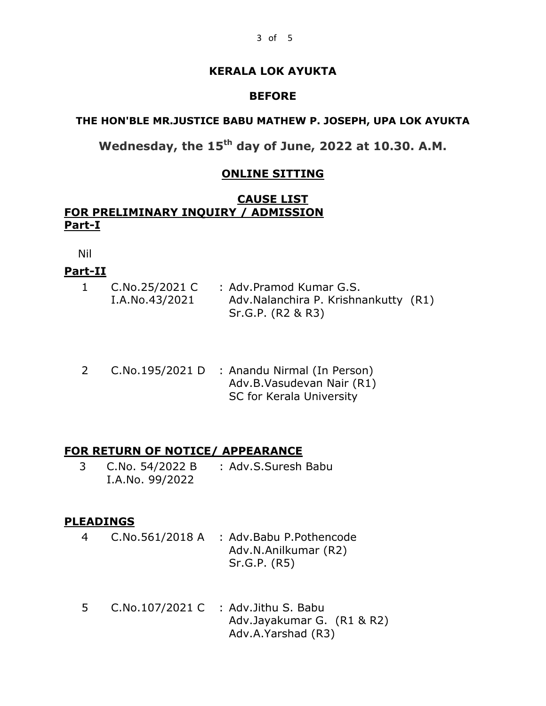#### **KERALA LOK AYUKTA**

#### **BEFORE**

#### **THE HON'BLE MR.JUSTICE BABU MATHEW P. JOSEPH, UPA LOK AYUKTA**

**Wednesday, the 15th day of June, 2022 at 10.30. A.M.**

#### **ONLINE SITTING**

#### **CAUSE LIST FOR PRELIMINARY INQUIRY / ADMISSION Part-I**

Nil

#### **Part-II**

| C.No.25/2021 C | : Adv.Pramod Kumar G.S.                                   |  |
|----------------|-----------------------------------------------------------|--|
| I.A.No.43/2021 | Adv.Nalanchira P. Krishnankutty (R1)<br>Sr.G.P. (R2 & R3) |  |
|                |                                                           |  |

2 C.No.195/2021 D : Anandu Nirmal (In Person) Adv.B.Vasudevan Nair (R1) SC for Kerala University

#### **FOR RETURN OF NOTICE/ APPEARANCE**

3 C.No. 54/2022 B : Adv.S.Suresh Babu I.A.No. 99/2022

#### **PLEADINGS**

- 4 C.No.561/2018 A : Adv.Babu P.Pothencode Adv.N.Anilkumar (R2) Sr.G.P. (R5)
- 5 C.No.107/2021 C : Adv.Jithu S. Babu Adv.Jayakumar G. (R1 & R2) Adv.A.Yarshad (R3)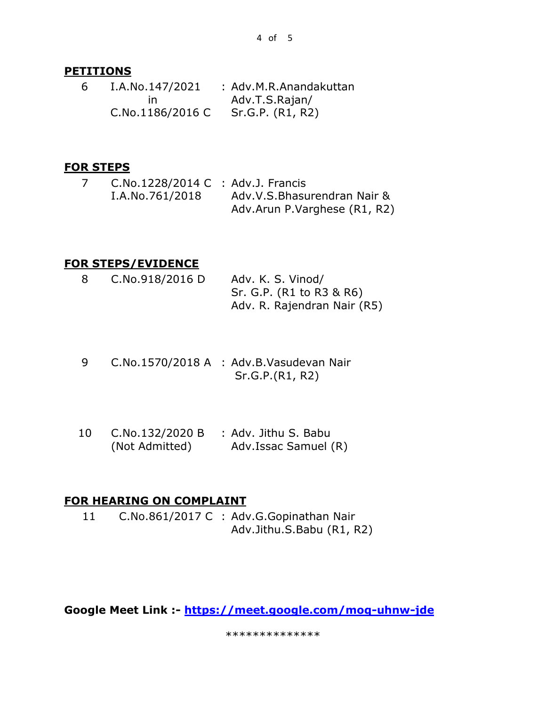#### **PETITIONS**

| 6 | I.A.No.147/2021  | : Adv.M.R.Anandakuttan |
|---|------------------|------------------------|
|   | In.              | Adv.T.S.Rajan/         |
|   | C.No.1186/2016 C | Sr.G.P. (R1, R2)       |

#### **FOR STEPS**

7 C.No.1228/2014 C : Adv.J. Francis I.A.No.761/2018 Adv.V.S.Bhasurendran Nair & Adv.Arun P.Varghese (R1, R2)

## **FOR STEPS/EVIDENCE**

| -8 | C.No.918/2016 D | Adv. K. S. Vinod/           |
|----|-----------------|-----------------------------|
|    |                 | Sr. G.P. (R1 to R3 & R6)    |
|    |                 | Adv. R. Rajendran Nair (R5) |

- 9 C.No.1570/2018 A : Adv.B.Vasudevan Nair Sr.G.P.(R1, R2)
- 10 C.No.132/2020 B : Adv. Jithu S. Babu (Not Admitted) Adv.Issac Samuel (R)

#### **FOR HEARING ON COMPLAINT**

11 C.No.861/2017 C : Adv.G.Gopinathan Nair Adv.Jithu.S.Babu (R1, R2)

**Google Meet Link :- <https://meet.google.com/moq-uhnw-jde>** 

\*\*\*\*\*\*\*\*\*\*\*\*\*\*